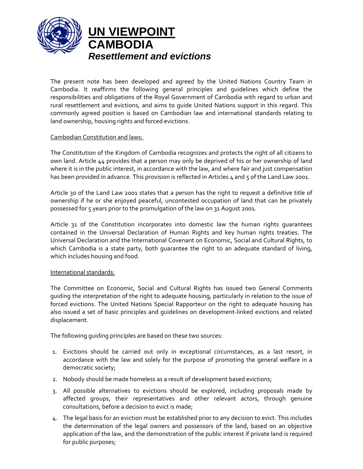

**UN VIEWPOINT CAMBODIA**  *Resettlement and evictions* 

The present note has been developed and agreed by the United Nations Country Team in Cambodia. It reaffirms the following general principles and guidelines which define the responsibilities and obligations of the Royal Government of Cambodia with regard to urban and rural resettlement and evictions, and aims to guide United Nations support in this regard. This commonly agreed position is based on Cambodian law and international standards relating to land ownership, housing rights and forced evictions.

## Cambodian Constitution and laws:

The Constitution of the Kingdom of Cambodia recognizes and protects the right of all citizens to own land. Article 44 provides that a person may only be deprived of his or her ownership of land where it is in the public interest, in accordance with the law, and where fair and just compensation has been provided in advance. This provision is reflected in Articles 4 and 5 of the Land Law 2001.

Article 30 of the Land Law 2001 states that a person has the right to request a definitive title of ownership if he or she enjoyed peaceful, uncontested occupation of land that can be privately possessed for 5 years prior to the promulgation of the law on 31 August 2001.

Article 31 of the Constitution incorporates into domestic law the human rights guarantees contained in the Universal Declaration of Human Rights and key human rights treaties. The Universal Declaration and the International Covenant on Economic, Social and Cultural Rights, to which Cambodia is a state party, both quarantee the right to an adequate standard of living, which includes housing and food.

## International standards:

The Committee on Economic, Social and Cultural Rights has issued two General Comments guiding the interpretation of the right to adequate housing, particularly in relation to the issue of forced evictions. The United Nations Special Rapporteur on the right to adequate housing has also issued a set of basic principles and guidelines on development‐linked evictions and related displacement.

The following guiding principles are based on these two sources:

- 1. Evictions should be carried out only in exceptional circumstances, as a last resort, in accordance with the law and solely for the purpose of promoting the general welfare in a democratic society;
- 2. Nobody should be made homeless as a result of development based evictions;
- 3. All possible alternatives to evictions should be explored, including proposals made by affected groups, their representatives and other relevant actors, through genuine consultations, before a decision to evict is made;
- 4. The legal basis for an eviction must be established prior to any decision to evict. This includes the determination of the legal owners and possessors of the land, based on an objective application of the law, and the demonstration of the public interest if private land is required for public purposes;